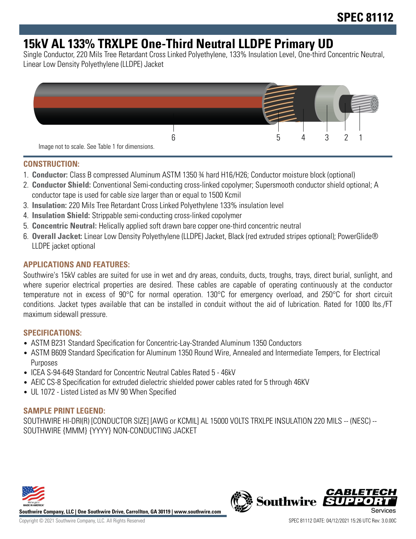## **15kV AL 133% TRXLPE One-Third Neutral LLDPE Primary UD**

Single Conductor, 220 Mils Tree Retardant Cross Linked Polyethylene, 133% Insulation Level, One-third Concentric Neutral, Linear Low Density Polyethylene (LLDPE) Jacket



#### **CONSTRUCTION:**

- 1. **Conductor:** Class B compressed Aluminum ASTM 1350 ¾ hard H16/H26; Conductor moisture block (optional)
- 2. **Conductor Shield:** Conventional Semi-conducting cross-linked copolymer; Supersmooth conductor shield optional; A conductor tape is used for cable size larger than or equal to 1500 Kcmil
- 3. **Insulation:** 220 Mils Tree Retardant Cross Linked Polyethylene 133% insulation level
- 4. **Insulation Shield:** Strippable semi-conducting cross-linked copolymer
- 5. **Concentric Neutral:** Helically applied soft drawn bare copper one-third concentric neutral
- 6. **Overall Jacket:** Linear Low Density Polyethylene (LLDPE) Jacket, Black (red extruded stripes optional); PowerGlide® LLDPE jacket optional

## **APPLICATIONS AND FEATURES:**

Southwire's 15kV cables are suited for use in wet and dry areas, conduits, ducts, troughs, trays, direct burial, sunlight, and where superior electrical properties are desired. These cables are capable of operating continuously at the conductor temperature not in excess of 90°C for normal operation. 130°C for emergency overload, and 250°C for short circuit conditions. Jacket types available that can be installed in conduit without the aid of lubrication. Rated for 1000 lbs./FT maximum sidewall pressure.

#### **SPECIFICATIONS:**

- ASTM B231 Standard Specification for Concentric-Lay-Stranded Aluminum 1350 Conductors
- ASTM B609 Standard Specification for Aluminum 1350 Round Wire, Annealed and Intermediate Tempers, for Electrical Purposes
- ICEA S-94-649 Standard for Concentric Neutral Cables Rated 5 46kV
- AEIC CS-8 Specification for extruded dielectric shielded power cables rated for 5 through 46KV
- UL 1072 Listed Listed as MV 90 When Specified

## **SAMPLE PRINT LEGEND:**

SOUTHWIRE HI-DRI(R) [CONDUCTOR SIZE] [AWG or KCMIL] AL 15000 VOLTS TRXLPE INSULATION 220 MILS -- (NESC) -- SOUTHWIRE {MMM} {YYYY} NON-CONDUCTING JACKET



**Southwire Company, LLC | One Southwire Drive, Carrollton, GA 30119 | www.southwire.com**

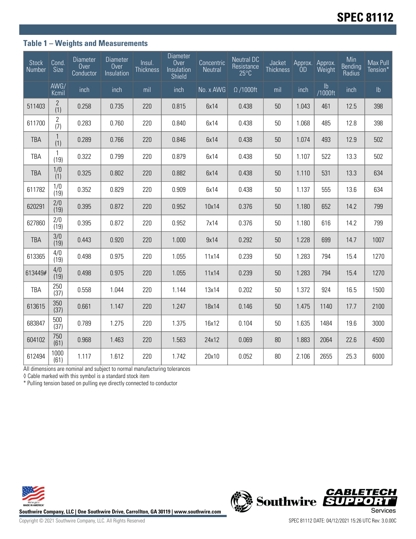## **Table 1 – Weights and Measurements**

| <b>Stock</b><br>Number | Cond.<br>Size         | <b>Diameter</b><br>Over<br>Conductor | <b>Diameter</b><br>Over<br>Insulation | Insul.<br><b>Thickness</b> | <b>Diameter</b><br>Over<br>Insulation<br>Shield | Concentric<br>Neutral | <b>Neutral DC</b><br>Resistance<br>$25^{\circ}$ C | Jacket<br><b>Thickness</b> | Approx.<br>ÒD | Approx.<br>Weight | Min<br><b>Bending</b><br>Radius | Max Pull<br>Tension* |
|------------------------|-----------------------|--------------------------------------|---------------------------------------|----------------------------|-------------------------------------------------|-----------------------|---------------------------------------------------|----------------------------|---------------|-------------------|---------------------------------|----------------------|
|                        | AWG/<br>Kcmil         | inch                                 | inch                                  | mil                        | inch                                            | No. x AWG             | $\Omega$ /1000ft                                  | mil                        | inch          | lb<br>1000ft/     | inch                            | $\mathsf{lb}$        |
| 511403                 | 2<br>(1)              | 0.258                                | 0.735                                 | 220                        | 0.815                                           | 6x14                  | 0.438                                             | 50                         | 1.043         | 461               | 12.5                            | 398                  |
| 611700                 | $\overline{2}$<br>(7) | 0.283                                | 0.760                                 | 220                        | 0.840                                           | 6x14                  | 0.438                                             | 50                         | 1.068         | 485               | 12.8                            | 398                  |
| <b>TBA</b>             | $\mathbf{1}$<br>(1)   | 0.289                                | 0.766                                 | 220                        | 0.846                                           | 6x14                  | 0.438                                             | 50                         | 1.074         | 493               | 12.9                            | 502                  |
| <b>TBA</b>             | 1<br>(19)             | 0.322                                | 0.799                                 | 220                        | 0.879                                           | 6x14                  | 0.438                                             | 50                         | 1.107         | 522               | 13.3                            | 502                  |
| <b>TBA</b>             | 1/0<br>(1)            | 0.325                                | 0.802                                 | 220                        | 0.882                                           | 6x14                  | 0.438                                             | 50                         | 1.110         | 531               | 13.3                            | 634                  |
| 611782                 | 1/0<br>(19)           | 0.352                                | 0.829                                 | 220                        | 0.909                                           | 6x14                  | 0.438                                             | 50                         | 1.137         | 555               | 13.6                            | 634                  |
| 620291                 | 2/0<br>(19)           | 0.395                                | 0.872                                 | 220                        | 0.952                                           | 10x14                 | 0.376                                             | 50                         | 1.180         | 652               | 14.2                            | 799                  |
| 627860                 | 2/0<br>(19)           | 0.395                                | 0.872                                 | 220                        | 0.952                                           | 7x14                  | 0.376                                             | 50                         | 1.180         | 616               | 14.2                            | 799                  |
| <b>TBA</b>             | 3/0<br>(19)           | 0.443                                | 0.920                                 | 220                        | 1.000                                           | 9x14                  | 0.292                                             | 50                         | 1.228         | 699               | 14.7                            | 1007                 |
| 613365                 | 4/0<br>(19)           | 0.498                                | 0.975                                 | 220                        | 1.055                                           | 11x14                 | 0.239                                             | 50                         | 1.283         | 794               | 15.4                            | 1270                 |
| 613449#                | 4/0<br>(19)           | 0.498                                | 0.975                                 | 220                        | 1.055                                           | 11x14                 | 0.239                                             | 50                         | 1.283         | 794               | 15.4                            | 1270                 |
| TBA                    | 250<br>(37)           | 0.558                                | 1.044                                 | 220                        | 1.144                                           | 13x14                 | 0.202                                             | 50                         | 1.372         | 924               | 16.5                            | 1500                 |
| 613615                 | 350<br>(37)           | 0.661                                | 1.147                                 | 220                        | 1.247                                           | 18x14                 | 0.146                                             | 50                         | 1.475         | 1140              | 17.7                            | 2100                 |
| 683847                 | 500<br>(37)           | 0.789                                | 1.275                                 | 220                        | 1.375                                           | 16x12                 | 0.104                                             | 50                         | 1.635         | 1484              | 19.6                            | 3000                 |
| 604102                 | 750<br>(61)           | 0.968                                | 1.463                                 | 220                        | 1.563                                           | 24x12                 | 0.069                                             | 80                         | 1.883         | 2064              | 22.6                            | 4500                 |
| 612494                 | 1000<br>(61)          | 1.117                                | 1.612                                 | 220                        | 1.742                                           | 20x10                 | 0.052                                             | 80                         | 2.106         | 2655              | 25.3                            | 6000                 |

All dimensions are nominal and subject to normal manufacturing tolerances

◊ Cable marked with this symbol is a standard stock item

\* Pulling tension based on pulling eye directly connected to conductor



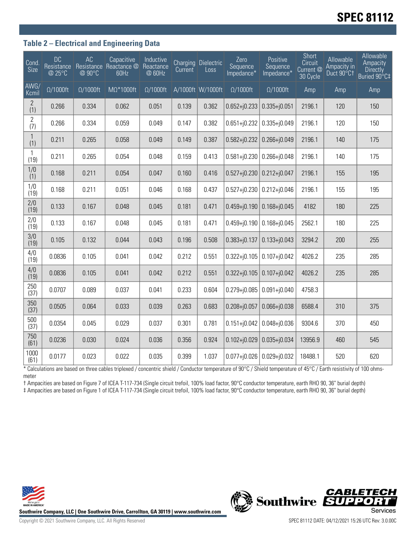# **SPEC 81112**

### **Table 2 – Electrical and Engineering Data**

| <b>Cond</b><br><b>Size</b> | <b>DC</b><br>Resistance<br>@ 25°C | AC<br>@ 90°C     | Capacitive<br>Resistance Reactance @<br>60Hz | Inductive<br>Reactance<br>@ 60Hz | Current | <b>Charging Dielectric</b><br>Loss | Zero<br>Sequence<br>Impedance* | Positive<br>Sequence<br>Impedance* | Short<br>Circuit<br>Current <sup>@</sup><br>30 Cycle | Allowable<br>Ampacity in<br>Duct 90°C1 | Allowable<br>Ampacity<br><b>Directly</b><br>Buried 90°C‡ |
|----------------------------|-----------------------------------|------------------|----------------------------------------------|----------------------------------|---------|------------------------------------|--------------------------------|------------------------------------|------------------------------------------------------|----------------------------------------|----------------------------------------------------------|
| AWG/<br>Kcmil              | $\Omega/1000$ ft                  | $\Omega/1000$ ft | $M\Omega^*1000$ ft                           | $\Omega/1000$ ft                 |         | A/1000ft W/1000ft                  | $\Omega/1000$ ft               | $\Omega/1000$ ft                   | Amp                                                  | Amp                                    | Amp                                                      |
| $\overline{2}$<br>(1)      | 0.266                             | 0.334            | 0.062                                        | 0.051                            | 0.139   | 0.362                              | $0.652 + j0.233$               | $0.335 + j0.051$                   | 2196.1                                               | 120                                    | 150                                                      |
| $\overline{2}$<br>(7)      | 0.266                             | 0.334            | 0.059                                        | 0.049                            | 0.147   | 0.382                              | $0.651 + j0.232$               | $0.335 + j0.049$                   | 2196.1                                               | 120                                    | 150                                                      |
| $\mathbf{1}$<br>(1)        | 0.211                             | 0.265            | 0.058                                        | 0.049                            | 0.149   | 0.387                              | $0.582 + j0.232$               | $0.266 + j0.049$                   | 2196.1                                               | 140                                    | 175                                                      |
| $\mathbf{1}$<br>(19)       | 0.211                             | 0.265            | 0.054                                        | 0.048                            | 0.159   | 0.413                              | $0.581 + j0.230$               | $0.266 + j0.048$                   | 2196.1                                               | 140                                    | 175                                                      |
| 1/0<br>(1)                 | 0.168                             | 0.211            | 0.054                                        | 0.047                            | 0.160   | 0.416                              | $0.527 + 0.230$                | $0.212 + j0.047$                   | 2196.1                                               | 155                                    | 195                                                      |
| 1/0<br>(19)                | 0.168                             | 0.211            | 0.051                                        | 0.046                            | 0.168   | 0.437                              | $0.527 + j0.230$               | $0.212 + j0.046$                   | 2196.1                                               | 155                                    | 195                                                      |
| 2/0<br>(19)                | 0.133                             | 0.167            | 0.048                                        | 0.045                            | 0.181   | 0.471                              | $0.459 + j0.190$               | $0.168 + j0.045$                   | 4182                                                 | 180                                    | 225                                                      |
| 2/0<br>(19)                | 0.133                             | 0.167            | 0.048                                        | 0.045                            | 0.181   | 0.471                              | $0.459 + j0.190$               | $0.168 + j0.045$                   | 2562.1                                               | 180                                    | 225                                                      |
| 3/0<br>(19)                | 0.105                             | 0.132            | 0.044                                        | 0.043                            | 0.196   | 0.508                              | $0.383 + j0.137$               | $0.133 + j0.043$                   | 3294.2                                               | 200                                    | 255                                                      |
| 4/0<br>(19)                | 0.0836                            | 0.105            | 0.041                                        | 0.042                            | 0.212   | 0.551                              | $0.322 + j0.105$               | $0.107 + j0.042$                   | 4026.2                                               | 235                                    | 285                                                      |
| 4/0<br>(19)                | 0.0836                            | 0.105            | 0.041                                        | 0.042                            | 0.212   | 0.551                              | $0.322 + j0.105$               | $0.107 + j0.042$                   | 4026.2                                               | 235                                    | 285                                                      |
| 250<br>(37)                | 0.0707                            | 0.089            | 0.037                                        | 0.041                            | 0.233   | 0.604                              | $0.279 + j0.085$               | $0.091 + j0.040$                   | 4758.3                                               |                                        |                                                          |
| 350<br>(37)                | 0.0505                            | 0.064            | 0.033                                        | 0.039                            | 0.263   | 0.683                              | $0.208 + j0.057$               | $0.066 + j0.038$                   | 6588.4                                               | 310                                    | 375                                                      |
| 500<br>(37)                | 0.0354                            | 0.045            | 0.029                                        | 0.037                            | 0.301   | 0.781                              | $0.151 + j0.042$               | $0.048 + j0.036$                   | 9304.6                                               | 370                                    | 450                                                      |
| 750<br>(61)                | 0.0236                            | 0.030            | 0.024                                        | 0.036                            | 0.356   | 0.924                              | $0.102 + j0.029$               | $0.035 + j0.034$                   | 13956.9                                              | 460                                    | 545                                                      |
| 1000<br>(61)               | 0.0177                            | 0.023            | 0.022                                        | 0.035                            | 0.399   | 1.037                              | $0.077 + j0.026$               | $0.029 + j0.032$                   | 18488.1                                              | 520                                    | 620                                                      |

\* Calculations are based on three cables triplexed / concentric shield / Conductor temperature of 90°C / Shield temperature of 45°C / Earth resistivity of 100 ohmsmeter

† Ampacities are based on Figure 7 of ICEA T-117-734 (Single circuit trefoil, 100% load factor, 90°C conductor temperature, earth RHO 90, 36" burial depth) ‡ Ampacities are based on Figure 1 of ICEA T-117-734 (Single circuit trefoil, 100% load factor, 90°C conductor temperature, earth RHO 90, 36" burial depth)



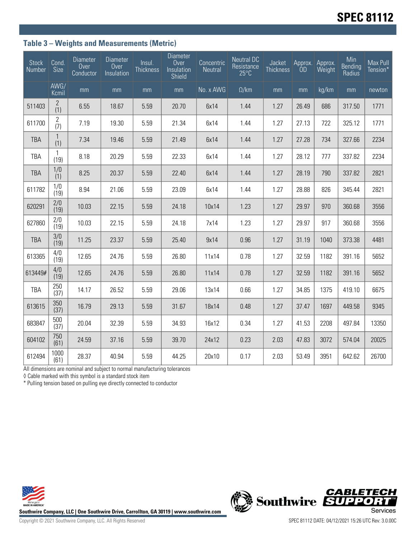## **Table 3 – Weights and Measurements (Metric)**

| <b>Stock</b><br>Number | Cond.<br>Size         | <b>Diameter</b><br>Over<br>Conductor | <b>Diameter</b><br>Over<br>Insulation | $ln$ sul.<br>Thickness | <b>Diameter</b><br>Over<br>Insulation<br>Shield | Concentric<br>Neutral | <b>Neutral DC</b><br>Resistance<br>$25^{\circ}$ C | Jacket<br>Thickness | Approx.<br>ÒD | Approx.<br>Weight | Min<br>Bending<br>Radius | Max Pull<br>Tension* |
|------------------------|-----------------------|--------------------------------------|---------------------------------------|------------------------|-------------------------------------------------|-----------------------|---------------------------------------------------|---------------------|---------------|-------------------|--------------------------|----------------------|
|                        | AWG/<br>Kcmil         | mm                                   | mm                                    | mm                     | mm                                              | No. x AWG             | $\Omega$ /km                                      | mm                  | mm            | kg/km             | mm                       | newton               |
| 511403                 | $\overline{2}$<br>(1) | 6.55                                 | 18.67                                 | 5.59                   | 20.70                                           | 6x14                  | 1.44                                              | 1.27                | 26.49         | 686               | 317.50                   | 1771                 |
| 611700                 | $\overline{2}$<br>(7) | 7.19                                 | 19.30                                 | 5.59                   | 21.34                                           | 6x14                  | 1.44                                              | 1.27                | 27.13         | 722               | 325.12                   | 1771                 |
| <b>TBA</b>             | $\mathbf{1}$<br>(1)   | 7.34                                 | 19.46                                 | 5.59                   | 21.49                                           | 6x14                  | 1.44                                              | 1.27                | 27.28         | 734               | 327.66                   | 2234                 |
| <b>TBA</b>             | 1<br>(19)             | 8.18                                 | 20.29                                 | 5.59                   | 22.33                                           | 6x14                  | 1.44                                              | 1.27                | 28.12         | 777               | 337.82                   | 2234                 |
| <b>TBA</b>             | 1/0<br>(1)            | 8.25                                 | 20.37                                 | 5.59                   | 22.40                                           | 6x14                  | 1.44                                              | 1.27                | 28.19         | 790               | 337.82                   | 2821                 |
| 611782                 | 1/0<br>(19)           | 8.94                                 | 21.06                                 | 5.59                   | 23.09                                           | 6x14                  | 1.44                                              | 1.27                | 28.88         | 826               | 345.44                   | 2821                 |
| 620291                 | 2/0<br>(19)           | 10.03                                | 22.15                                 | 5.59                   | 24.18                                           | 10x14                 | 1.23                                              | 1.27                | 29.97         | 970               | 360.68                   | 3556                 |
| 627860                 | 2/0<br>(19)           | 10.03                                | 22.15                                 | 5.59                   | 24.18                                           | 7x14                  | 1.23                                              | 1.27                | 29.97         | 917               | 360.68                   | 3556                 |
| <b>TBA</b>             | 3/0<br>(19)           | 11.25                                | 23.37                                 | 5.59                   | 25.40                                           | 9x14                  | 0.96                                              | 1.27                | 31.19         | 1040              | 373.38                   | 4481                 |
| 613365                 | 4/0<br>(19)           | 12.65                                | 24.76                                 | 5.59                   | 26.80                                           | 11x14                 | 0.78                                              | 1.27                | 32.59         | 1182              | 391.16                   | 5652                 |
| 613449#                | 4/0<br>(19)           | 12.65                                | 24.76                                 | 5.59                   | 26.80                                           | 11x14                 | 0.78                                              | 1.27                | 32.59         | 1182              | 391.16                   | 5652                 |
| <b>TBA</b>             | 250<br>(37)           | 14.17                                | 26.52                                 | 5.59                   | 29.06                                           | 13x14                 | 0.66                                              | 1.27                | 34.85         | 1375              | 419.10                   | 6675                 |
| 613615                 | 350<br>(37)           | 16.79                                | 29.13                                 | 5.59                   | 31.67                                           | 18x14                 | 0.48                                              | 1.27                | 37.47         | 1697              | 449.58                   | 9345                 |
| 683847                 | 500<br>(37)           | 20.04                                | 32.39                                 | 5.59                   | 34.93                                           | 16x12                 | 0.34                                              | 1.27                | 41.53         | 2208              | 497.84                   | 13350                |
| 604102                 | 750<br>(61)           | 24.59                                | 37.16                                 | 5.59                   | 39.70                                           | 24x12                 | 0.23                                              | 2.03                | 47.83         | 3072              | 574.04                   | 20025                |
| 612494                 | 1000<br>(61)          | 28.37                                | 40.94                                 | 5.59                   | 44.25                                           | 20x10                 | 0.17                                              | 2.03                | 53.49         | 3951              | 642.62                   | 26700                |

All dimensions are nominal and subject to normal manufacturing tolerances

◊ Cable marked with this symbol is a standard stock item

\* Pulling tension based on pulling eye directly connected to conductor